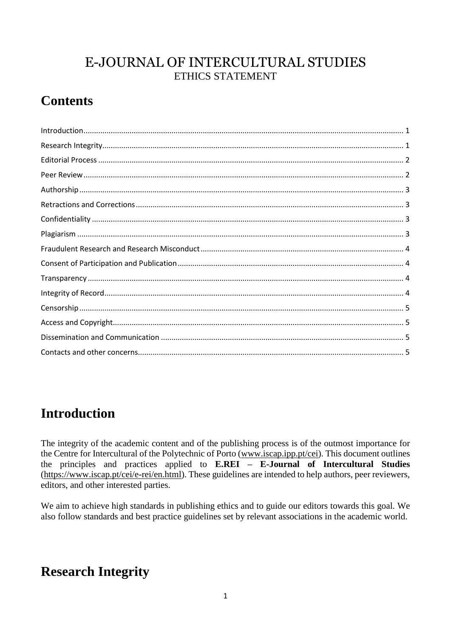#### E-JOURNAL OF INTERCULTURAL STUDIES ETHICS STATEMENT

# **Contents**

# <span id="page-0-0"></span>**Introduction**

The integrity of the academic content and of the publishing process is of the outmost importance for the Centre for Intercultural of the Polytechnic of Porto (www.iscap.ipp.pt/cei). This document outlines the principles and practices applied to E.REI - E-Journal of Intercultural Studies (https://www.iscap.pt/cei/e-rei/en.html). These guidelines are intended to help authors, peer reviewers, editors, and other interested parties.

We aim to achieve high standards in publishing ethics and to guide our editors towards this goal. We also follow standards and best practice guidelines set by relevant associations in the academic world.

# <span id="page-0-1"></span>**Research Integrity**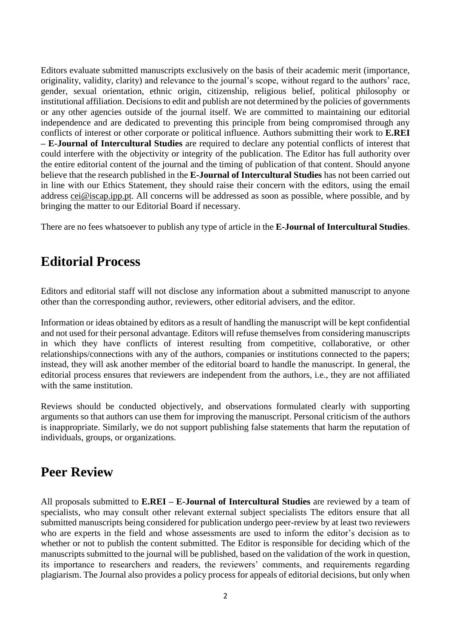Editors evaluate submitted manuscripts exclusively on the basis of their academic merit (importance, originality, validity, clarity) and relevance to the journal's scope, without regard to the authors' race, gender, sexual orientation, ethnic origin, citizenship, religious belief, political philosophy or institutional affiliation. Decisions to edit and publish are not determined by the policies of governments or any other agencies outside of the journal itself. We are committed to maintaining our editorial independence and are dedicated to preventing this principle from being compromised through any conflicts of interest or other corporate or political influence. Authors submitting their work to **E.REI – E-Journal of Intercultural Studies** are required to declare any potential conflicts of interest that could interfere with the objectivity or integrity of the publication. The Editor has full authority over the entire editorial content of the journal and the timing of publication of that content. Should anyone believe that the research published in the **E-Journal of Intercultural Studies** has not been carried out in line with our Ethics Statement, they should raise their concern with the editors, using the email address [cei@iscap.ipp.pt.](mailto:cei@iscap.ipp.pt) All concerns will be addressed as soon as possible, where possible, and by bringing the matter to our Editorial Board if necessary.

There are no fees whatsoever to publish any type of article in the **E-Journal of Intercultural Studies**.

#### <span id="page-1-0"></span>**Editorial Process**

Editors and editorial staff will not disclose any information about a submitted manuscript to anyone other than the corresponding author, reviewers, other editorial advisers, and the editor.

Information or ideas obtained by editors as a result of handling the manuscript will be kept confidential and not used for their personal advantage. Editors will refuse themselves from considering manuscripts in which they have conflicts of interest resulting from competitive, collaborative, or other relationships/connections with any of the authors, companies or institutions connected to the papers; instead, they will ask another member of the editorial board to handle the manuscript. In general, the editorial process ensures that reviewers are independent from the authors, i.e., they are not affiliated with the same institution.

Reviews should be conducted objectively, and observations formulated clearly with supporting arguments so that authors can use them for improving the manuscript. Personal criticism of the authors is inappropriate. Similarly, we do not support publishing false statements that harm the reputation of individuals, groups, or organizations.

#### <span id="page-1-1"></span>**Peer Review**

All proposals submitted to **E.REI – E-Journal of Intercultural Studies** are reviewed by a team of specialists, who may consult other relevant external subject specialists The editors ensure that all submitted manuscripts being considered for publication undergo peer-review by at least two reviewers who are experts in the field and whose assessments are used to inform the editor's decision as to whether or not to publish the content submitted. The Editor is responsible for deciding which of the manuscripts submitted to the journal will be published, based on the validation of the work in question, its importance to researchers and readers, the reviewers' comments, and requirements regarding plagiarism. The Journal also provides a policy process for appeals of editorial decisions, but only when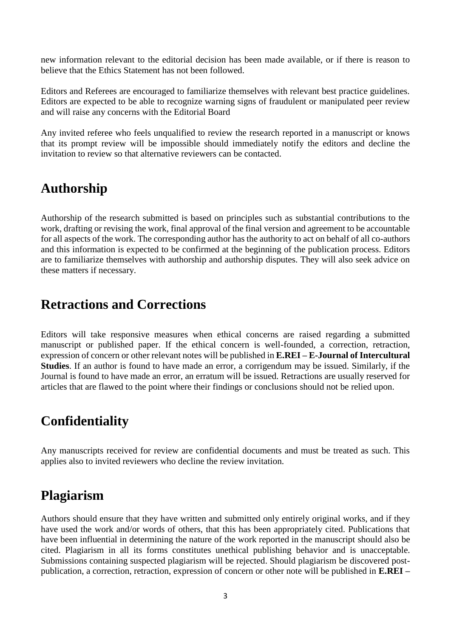new information relevant to the editorial decision has been made available, or if there is reason to believe that the Ethics Statement has not been followed.

Editors and Referees are encouraged to familiarize themselves with relevant best practice guidelines. Editors are expected to be able to recognize warning signs of fraudulent or manipulated peer review and will raise any concerns with the Editorial Board

Any invited referee who feels unqualified to review the research reported in a manuscript or knows that its prompt review will be impossible should immediately notify the editors and decline the invitation to review so that alternative reviewers can be contacted.

#### <span id="page-2-0"></span>**Authorship**

Authorship of the research submitted is based on principles such as substantial contributions to the work, drafting or revising the work, final approval of the final version and agreement to be accountable for all aspects of the work. The corresponding author has the authority to act on behalf of all co-authors and this information is expected to be confirmed at the beginning of the publication process. Editors are to familiarize themselves with authorship and authorship disputes. They will also seek advice on these matters if necessary.

#### <span id="page-2-1"></span>**Retractions and Corrections**

Editors will take responsive measures when ethical concerns are raised regarding a submitted manuscript or published paper. If the ethical concern is well-founded, a correction, retraction, expression of concern or other relevant notes will be published in **E.REI – E-Journal of Intercultural Studies**. If an author is found to have made an error, a corrigendum may be issued. Similarly, if the Journal is found to have made an error, an erratum will be issued. Retractions are usually reserved for articles that are flawed to the point where their findings or conclusions should not be relied upon.

#### <span id="page-2-2"></span>**Confidentiality**

Any manuscripts received for review are confidential documents and must be treated as such. This applies also to invited reviewers who decline the review invitation.

#### <span id="page-2-3"></span>**Plagiarism**

Authors should ensure that they have written and submitted only entirely original works, and if they have used the work and/or words of others, that this has been appropriately cited. Publications that have been influential in determining the nature of the work reported in the manuscript should also be cited. Plagiarism in all its forms constitutes unethical publishing behavior and is unacceptable. Submissions containing suspected plagiarism will be rejected. Should plagiarism be discovered postpublication, a correction, retraction, expression of concern or other note will be published in **E.REI –**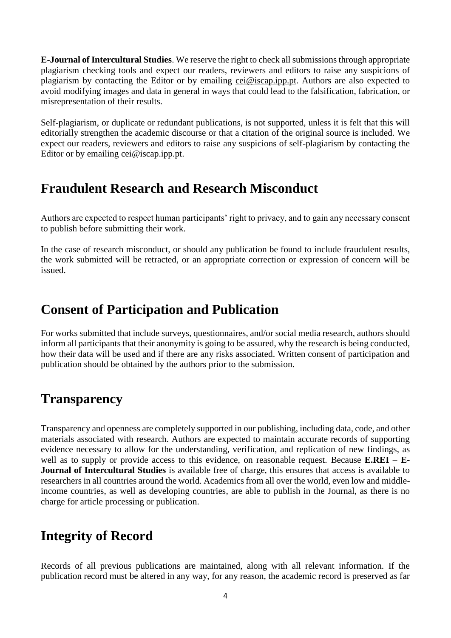**E-Journal of Intercultural Studies**. We reserve the right to check all submissions through appropriate plagiarism checking tools and expect our readers, reviewers and editors to raise any suspicions of plagiarism by contacting the Editor or by emailing [cei@iscap.ipp.pt.](mailto:cei@iscap.ipp.pt) Authors are also expected to avoid modifying images and data in general in ways that could lead to the falsification, fabrication, or misrepresentation of their results.

Self-plagiarism, or duplicate or redundant publications, is not supported, unless it is felt that this will editorially strengthen the academic discourse or that a citation of the original source is included. We expect our readers, reviewers and editors to raise any suspicions of self-plagiarism by contacting the Editor or by emailing [cei@iscap.ipp.pt.](mailto:cei@iscap.ipp.pt)

#### <span id="page-3-0"></span>**Fraudulent Research and Research Misconduct**

Authors are expected to respect human participants' right to privacy, and to gain any necessary consent to publish before submitting their work.

In the case of research misconduct, or should any publication be found to include fraudulent results, the work submitted will be retracted, or an appropriate correction or expression of concern will be issued.

### <span id="page-3-1"></span>**Consent of Participation and Publication**

For works submitted that include surveys, questionnaires, and/or social media research, authors should inform all participants that their anonymity is going to be assured, why the research is being conducted, how their data will be used and if there are any risks associated. Written consent of participation and publication should be obtained by the authors prior to the submission.

## <span id="page-3-2"></span>**Transparency**

Transparency and openness are completely supported in our publishing, including data, code, and other materials associated with research. Authors are expected to maintain accurate records of supporting evidence necessary to allow for the understanding, verification, and replication of new findings, as well as to supply or provide access to this evidence, on reasonable request. Because **E.REI – E-Journal of Intercultural Studies** is available free of charge, this ensures that access is available to researchers in all countries around the world. Academics from all over the world, even low and middleincome countries, as well as developing countries, are able to publish in the Journal, as there is no charge for article processing or publication.

## <span id="page-3-3"></span>**Integrity of Record**

Records of all previous publications are maintained, along with all relevant information. If the publication record must be altered in any way, for any reason, the academic record is preserved as far